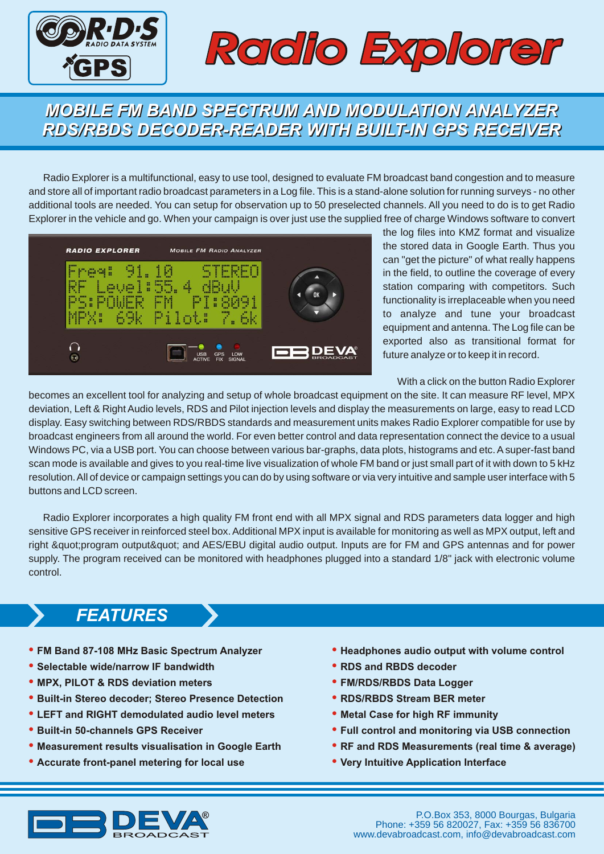

## *Radio Explorer*

#### *MOBILE FM BAND SPECTRUM AND MODULATION ANALYZER MOBILE FM BAND SPECTRUM AND MODULATION ANALYZER RDS/RBDS DECODER-READER WITH BUILT-IN GPS RECEIVER RDS/RBDS DECODER-READER WITH BUILT-IN GPS RECEIVER*

Radio Explorer is a multifunctional, easy to use tool, designed to evaluate FM broadcast band congestion and to measure and store all of important radio broadcast parameters in a Log file. This is a stand-alone solution for running surveys - no other additional tools are needed. You can setup for observation up to 50 preselected channels. All you need to do is to get Radio Explorer in the vehicle and go. When your campaign is over just use the supplied free of charge Windows software to convert



the log files into KMZ format and visualize the stored data in Google Earth. Thus you can "get the picture" of what really happens in the field, to outline the coverage of every station comparing with competitors. Such functionality is irreplaceable when you need to analyze and tune your broadcast equipment and antenna. The Log file can be exported also as transitional format for future analyze or to keep it in record.

With a click on the button Radio Explorer

becomes an excellent tool for analyzing and setup of whole broadcast equipment on the site. It can measure RF level, MPX deviation, Left & Right Audio levels, RDS and Pilot injection levels and display the measurements on large, easy to read LCD display. Easy switching between RDS/RBDS standards and measurement units makes Radio Explorer compatible for use by broadcast engineers from all around the world. For even better control and data representation connect the device to a usual Windows PC, via a USB port. You can choose between various bar-graphs, data plots, histograms and etc. A super-fast band scan mode is available and gives to you real-time live visualization of whole FM band or just small part of it with down to 5 kHz resolution. All of device or campaign settings you can do by using software or via very intuitive and sample user interface with 5 buttons and LCD screen.

Radio Explorer incorporates a high quality FM front end with all MPX signal and RDS parameters data logger and high sensitive GPS receiver in reinforced steel box. Additional MPX input is available for monitoring as well as MPX output, left and right "program output" and AES/EBU digital audio output. Inputs are for FM and GPS antennas and for power supply. The program received can be monitored with headphones plugged into a standard 1/8" jack with electronic volume control.

#### *FEATURES*

- **FM Band 87-108 MHz Basic Spectrum Analyzer**
- **Selectable wide/narrow IF bandwidth**
- **MPX, PILOT & RDS deviation meters**
- **Built-in Stereo decoder; Stereo Presence Detection**
- **LEFT and RIGHT demodulated audio level meters**
- **Built-in 50-channels GPS Receiver**
- **Measurement results visualisation in Google Earth**
- **Accurate front-panel metering for local use**
- **Headphones audio output with volume control**
- **RDS and RBDS decoder**
- **FM/RDS/RBDS Data Logger**
- **RDS/RBDS Stream BER meter**
- **Metal Case for high RF immunity**
- **Full control and monitoring via USB connection**
- **RF and RDS Measurements (real time & average)**
- **Very Intuitive Application Interface**